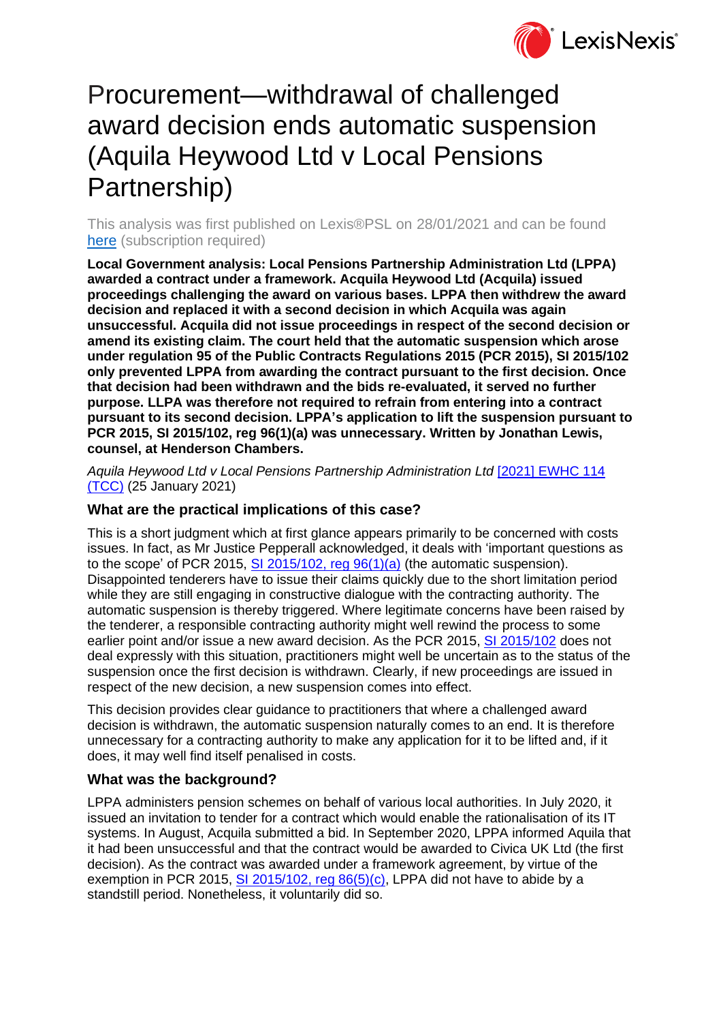

# Procurement—withdrawal of challenged award decision ends automatic suspension (Aquila Heywood Ltd v Local Pensions Partnership)

This analysis was first published on Lexis®PSL on 28/01/2021 and can be found [here](https://www.lexisnexis.com/uk/lexispsl/localgovernment/docfromresult/D-WA-A-Y-Y-MsSWYWZ-UUW-UZEYAAUUW-U-U-U-U-U-U-AZACUVDYAW-AZAWZWYZAW-BCBAAWCBB-U-U/1/412012?lni=61W3-VJW3-GXFD-847H-00000-00) (subscription required)

**Local Government analysis: Local Pensions Partnership Administration Ltd (LPPA) awarded a contract under a framework. Acquila Heywood Ltd (Acquila) issued proceedings challenging the award on various bases. LPPA then withdrew the award decision and replaced it with a second decision in which Acquila was again unsuccessful. Acquila did not issue proceedings in respect of the second decision or amend its existing claim. The court held that the automatic suspension which arose under regulation 95 of the Public Contracts Regulations 2015 (PCR 2015), SI 2015/102 only prevented LPPA from awarding the contract pursuant to the first decision. Once that decision had been withdrawn and the bids re-evaluated, it served no further purpose. LLPA was therefore not required to refrain from entering into a contract pursuant to its second decision. LPPA's application to lift the suspension pursuant to PCR 2015, SI 2015/102, reg 96(1)(a) was unnecessary. Written by Jonathan Lewis, counsel, at Henderson Chambers.**

*Aquila Heywood Ltd v Local Pensions Partnership Administration Ltd* [\[2021\] EWHC 114](https://www.lexisnexis.com/uk/lexispsl/localgovernment/citationlinkHandler.faces?bct=A&service=citation&risb=&EWHCTCC&$sel1!%252021%25$year!%252021%25$page!%25114%25)  [\(TCC\)](https://www.lexisnexis.com/uk/lexispsl/localgovernment/citationlinkHandler.faces?bct=A&service=citation&risb=&EWHCTCC&$sel1!%252021%25$year!%252021%25$page!%25114%25) (25 January 2021)

## **What are the practical implications of this case?**

This is a short judgment which at first glance appears primarily to be concerned with costs issues. In fact, as Mr Justice Pepperall acknowledged, it deals with 'important questions as to the scope' of PCR 2015, SI 2015/102, reg  $96(1)(a)$  (the automatic suspension). Disappointed tenderers have to issue their claims quickly due to the short limitation period while they are still engaging in constructive dialogue with the contracting authority. The automatic suspension is thereby triggered. Where legitimate concerns have been raised by the tenderer, a responsible contracting authority might well rewind the process to some earlier point and/or issue a new award decision. As the PCR 2015, [SI 2015/102](https://www.lexisnexis.com/uk/lexispsl/localgovernment/citationlinkHandler.faces?bct=A&service=citation&risb=&UK_SI&$num!%252015_102s_Title%25) does not deal expressly with this situation, practitioners might well be uncertain as to the status of the suspension once the first decision is withdrawn. Clearly, if new proceedings are issued in respect of the new decision, a new suspension comes into effect.

This decision provides clear guidance to practitioners that where a challenged award decision is withdrawn, the automatic suspension naturally comes to an end. It is therefore unnecessary for a contracting authority to make any application for it to be lifted and, if it does, it may well find itself penalised in costs.

## **What was the background?**

LPPA administers pension schemes on behalf of various local authorities. In July 2020, it issued an invitation to tender for a contract which would enable the rationalisation of its IT systems. In August, Acquila submitted a bid. In September 2020, LPPA informed Aquila that it had been unsuccessful and that the contract would be awarded to Civica UK Ltd (the first decision). As the contract was awarded under a framework agreement, by virtue of the exemption in PCR 2015,  $SI$  2015/102, reg  $86(5)(c)$ , LPPA did not have to abide by a standstill period. Nonetheless, it voluntarily did so.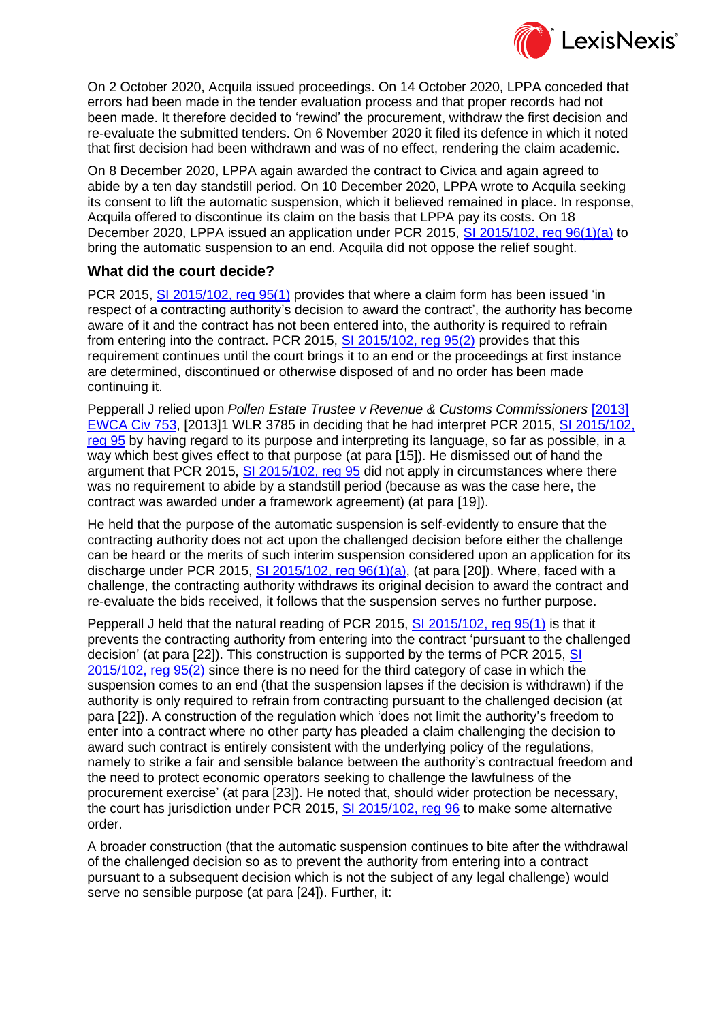

On 2 October 2020, Acquila issued proceedings. On 14 October 2020, LPPA conceded that errors had been made in the tender evaluation process and that proper records had not been made. It therefore decided to 'rewind' the procurement, withdraw the first decision and re-evaluate the submitted tenders. On 6 November 2020 it filed its defence in which it noted that first decision had been withdrawn and was of no effect, rendering the claim academic.

On 8 December 2020, LPPA again awarded the contract to Civica and again agreed to abide by a ten day standstill period. On 10 December 2020, LPPA wrote to Acquila seeking its consent to lift the automatic suspension, which it believed remained in place. In response, Acquila offered to discontinue its claim on the basis that LPPA pay its costs. On 18 December 2020, LPPA issued an application under PCR 2015, [SI 2015/102, reg 96\(1\)\(a\)](https://www.lexisnexis.com/uk/lexispsl/localgovernment/citationlinkHandler.faces?bct=A&service=citation&risb=&UK_SI&$num!%252015_102s%25$section!%2596%25$sect!%2596%25) to bring the automatic suspension to an end. Acquila did not oppose the relief sought.

#### **What did the court decide?**

PCR 2015, [SI 2015/102, reg 95\(1\)](https://www.lexisnexis.com/uk/lexispsl/localgovernment/citationlinkHandler.faces?bct=A&service=citation&risb=&UK_SI&$num!%252015_102s%25$section!%2595%25$sect!%2595%25) provides that where a claim form has been issued 'in respect of a contracting authority's decision to award the contract', the authority has become aware of it and the contract has not been entered into, the authority is required to refrain from entering into the contract. PCR 2015, [SI 2015/102, reg 95\(2\)](https://www.lexisnexis.com/uk/lexispsl/localgovernment/citationlinkHandler.faces?bct=A&service=citation&risb=&UK_SI&$num!%252015_102s%25$section!%2595%25$sect!%2595%25) provides that this requirement continues until the court brings it to an end or the proceedings at first instance are determined, discontinued or otherwise disposed of and no order has been made continuing it.

Pepperall J relied upon *Pollen Estate Trustee v Revenue & Customs Commissioners* [\[2013\]](https://www.lexisnexis.com/uk/lexispsl/localgovernment/citationlinkHandler.faces?bct=A&service=citation&risb=&EWCACIV&$sel1!%252013%25$year!%252013%25$page!%25753%25)  [EWCA Civ 753,](https://www.lexisnexis.com/uk/lexispsl/localgovernment/citationlinkHandler.faces?bct=A&service=citation&risb=&EWCACIV&$sel1!%252013%25$year!%252013%25$page!%25753%25) [2013]1 WLR 3785 in deciding that he had interpret PCR 2015, [SI 2015/102,](https://www.lexisnexis.com/uk/lexispsl/localgovernment/citationlinkHandler.faces?bct=A&service=citation&risb=&UK_SI&$num!%252015_102s%25$section!%2595%25$sect!%2595%25)  [reg 95](https://www.lexisnexis.com/uk/lexispsl/localgovernment/citationlinkHandler.faces?bct=A&service=citation&risb=&UK_SI&$num!%252015_102s%25$section!%2595%25$sect!%2595%25) by having regard to its purpose and interpreting its language, so far as possible, in a way which best gives effect to that purpose (at para [15]). He dismissed out of hand the argument that PCR 2015, [SI 2015/102, reg 95](https://www.lexisnexis.com/uk/lexispsl/localgovernment/citationlinkHandler.faces?bct=A&service=citation&risb=&UK_SI&$num!%252015_102s%25$section!%2595%25$sect!%2595%25) did not apply in circumstances where there was no requirement to abide by a standstill period (because as was the case here, the contract was awarded under a framework agreement) (at para [19]).

He held that the purpose of the automatic suspension is self-evidently to ensure that the contracting authority does not act upon the challenged decision before either the challenge can be heard or the merits of such interim suspension considered upon an application for its discharge under PCR 2015, SI 2015/102, reg  $96(1)(a)$ , (at para [20]). Where, faced with a challenge, the contracting authority withdraws its original decision to award the contract and re-evaluate the bids received, it follows that the suspension serves no further purpose.

Pepperall J held that the natural reading of PCR 2015, [SI 2015/102, reg 95\(1\)](https://www.lexisnexis.com/uk/lexispsl/localgovernment/citationlinkHandler.faces?bct=A&service=citation&risb=&UK_SI&$num!%252015_102s%25$section!%2595%25$sect!%2595%25) is that it prevents the contracting authority from entering into the contract 'pursuant to the challenged decision' (at para [22]). This construction is supported by the terms of PCR 2015, [SI](https://www.lexisnexis.com/uk/lexispsl/localgovernment/citationlinkHandler.faces?bct=A&service=citation&risb=&UK_SI&$num!%252015_102s%25$section!%2595%25$sect!%2595%25)  [2015/102, reg 95\(2\)](https://www.lexisnexis.com/uk/lexispsl/localgovernment/citationlinkHandler.faces?bct=A&service=citation&risb=&UK_SI&$num!%252015_102s%25$section!%2595%25$sect!%2595%25) since there is no need for the third category of case in which the suspension comes to an end (that the suspension lapses if the decision is withdrawn) if the authority is only required to refrain from contracting pursuant to the challenged decision (at para [22]). A construction of the regulation which 'does not limit the authority's freedom to enter into a contract where no other party has pleaded a claim challenging the decision to award such contract is entirely consistent with the underlying policy of the regulations, namely to strike a fair and sensible balance between the authority's contractual freedom and the need to protect economic operators seeking to challenge the lawfulness of the procurement exercise' (at para [23]). He noted that, should wider protection be necessary, the court has jurisdiction under PCR 2015, [SI 2015/102, reg 96](https://www.lexisnexis.com/uk/lexispsl/localgovernment/citationlinkHandler.faces?bct=A&service=citation&risb=&UK_SI&$num!%252015_102s%25$section!%2596%25$sect!%2596%25) to make some alternative order.

A broader construction (that the automatic suspension continues to bite after the withdrawal of the challenged decision so as to prevent the authority from entering into a contract pursuant to a subsequent decision which is not the subject of any legal challenge) would serve no sensible purpose (at para [24]). Further, it: